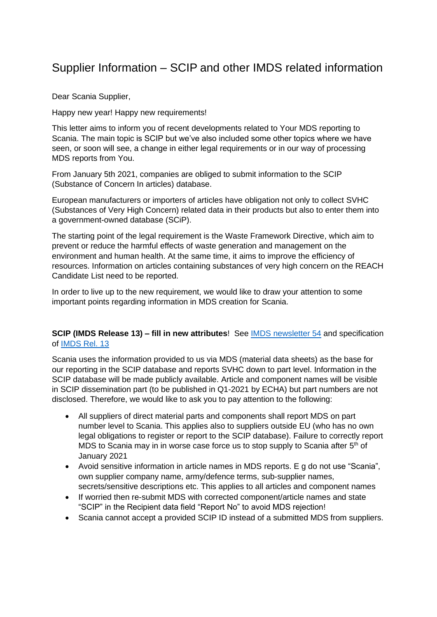# Supplier Information – SCIP and other IMDS related information

Dear Scania Supplier,

Happy new year! Happy new requirements!

This letter aims to inform you of recent developments related to Your MDS reporting to Scania. The main topic is SCIP but we've also included some other topics where we have seen, or soon will see, a change in either legal requirements or in our way of processing MDS reports from You.

From January 5th 2021, companies are obliged to submit information to the SCIP (Substance of Concern In articles) database.

European manufacturers or importers of articles have obligation not only to collect SVHC (Substances of Very High Concern) related data in their products but also to enter them into a government-owned database (SCiP).

The starting point of the legal requirement is the Waste Framework Directive, which aim to prevent or reduce the harmful effects of waste generation and management on the environment and human health. At the same time, it aims to improve the efficiency of resources. Information on articles containing substances of very high concern on the REACH Candidate List need to be reported.

In order to live up to the new requirement, we would like to draw your attention to some important points regarding information in MDS creation for Scania.

# **SCIP (IMDS Release 13) – fill in new attributes**! See [IMDS newsletter 54](https://public.mdsystem.com/documents/10906/26775/imds_newsletter54.pdf/f749ef67-f1d7-4231-8259-5531aaa638cd) and specification of [IMDS Rel. 13](https://public.mdsystem.com/documents/10906/16820/preliminary-release-information_13.0_en.pdf)

Scania uses the information provided to us via MDS (material data sheets) as the base for our reporting in the SCIP database and reports SVHC down to part level. Information in the SCIP database will be made publicly available. Article and component names will be visible in SCIP dissemination part (to be published in Q1-2021 by ECHA) but part numbers are not disclosed. Therefore, we would like to ask you to pay attention to the following:

- All suppliers of direct material parts and components shall report MDS on part number level to Scania. This applies also to suppliers outside EU (who has no own legal obligations to register or report to the SCIP database). Failure to correctly report MDS to Scania may in in worse case force us to stop supply to Scania after 5<sup>th</sup> of January 2021
- Avoid sensitive information in article names in MDS reports. E g do not use "Scania", own supplier company name, army/defence terms, sub-supplier names, secrets/sensitive descriptions etc. This applies to all articles and component names
- If worried then re-submit MDS with corrected component/article names and state "SCIP" in the Recipient data field "Report No" to avoid MDS rejection!
- Scania cannot accept a provided SCIP ID instead of a submitted MDS from suppliers.